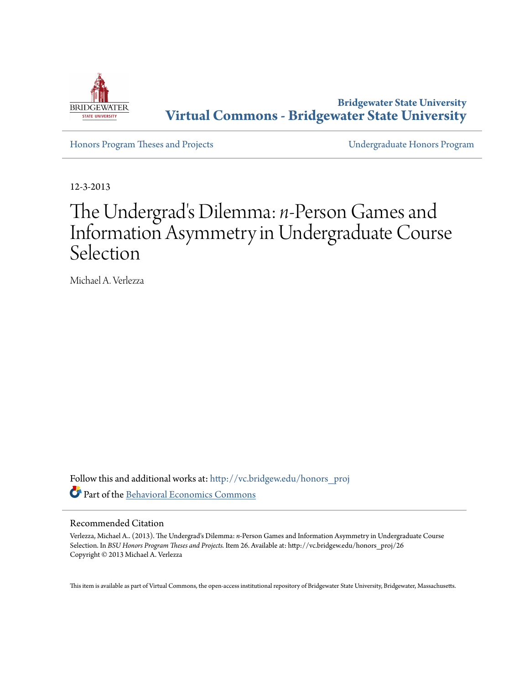

**Bridgewater State University [Virtual Commons - Bridgewater State University](http://vc.bridgew.edu?utm_source=vc.bridgew.edu%2Fhonors_proj%2F26&utm_medium=PDF&utm_campaign=PDFCoverPages)**

[Honors Program Theses and Projects](http://vc.bridgew.edu/honors_proj?utm_source=vc.bridgew.edu%2Fhonors_proj%2F26&utm_medium=PDF&utm_campaign=PDFCoverPages) [Undergraduate Honors Program](http://vc.bridgew.edu/honors?utm_source=vc.bridgew.edu%2Fhonors_proj%2F26&utm_medium=PDF&utm_campaign=PDFCoverPages)

12-3-2013

# The Undergrad's Dilemma: *n*-Person Games and Information Asymmetry in Undergraduate Course Selection

Michael A. Verlezza

Follow this and additional works at: [http://vc.bridgew.edu/honors\\_proj](http://vc.bridgew.edu/honors_proj?utm_source=vc.bridgew.edu%2Fhonors_proj%2F26&utm_medium=PDF&utm_campaign=PDFCoverPages) Part of the [Behavioral Economics Commons](http://network.bepress.com/hgg/discipline/341?utm_source=vc.bridgew.edu%2Fhonors_proj%2F26&utm_medium=PDF&utm_campaign=PDFCoverPages)

# Recommended Citation

Verlezza, Michael A.. (2013). The Undergrad's Dilemma: *n*-Person Games and Information Asymmetry in Undergraduate Course Selection. In *BSU Honors Program Theses and Projects.* Item 26. Available at: http://vc.bridgew.edu/honors\_proj/26 Copyright © 2013 Michael A. Verlezza

This item is available as part of Virtual Commons, the open-access institutional repository of Bridgewater State University, Bridgewater, Massachusetts.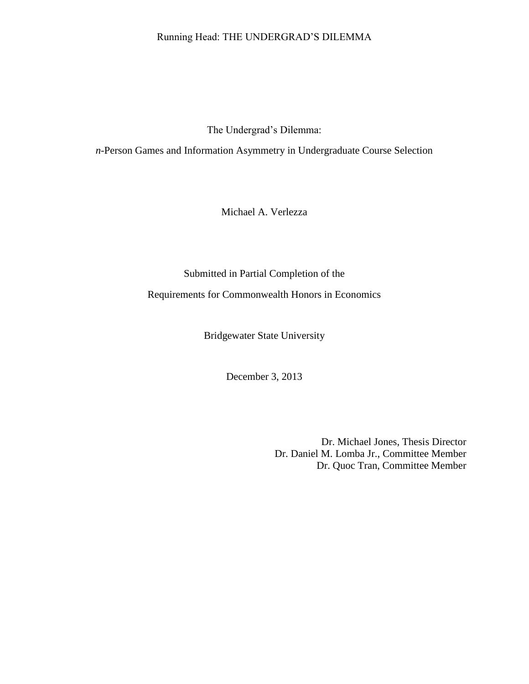# Running Head: THE UNDERGRAD'S DILEMMA

The Undergrad's Dilemma:

*n*-Person Games and Information Asymmetry in Undergraduate Course Selection

Michael A. Verlezza

Submitted in Partial Completion of the Requirements for Commonwealth Honors in Economics

Bridgewater State University

December 3, 2013

Dr. Michael Jones, Thesis Director Dr. Daniel M. Lomba Jr., Committee Member Dr. Quoc Tran, Committee Member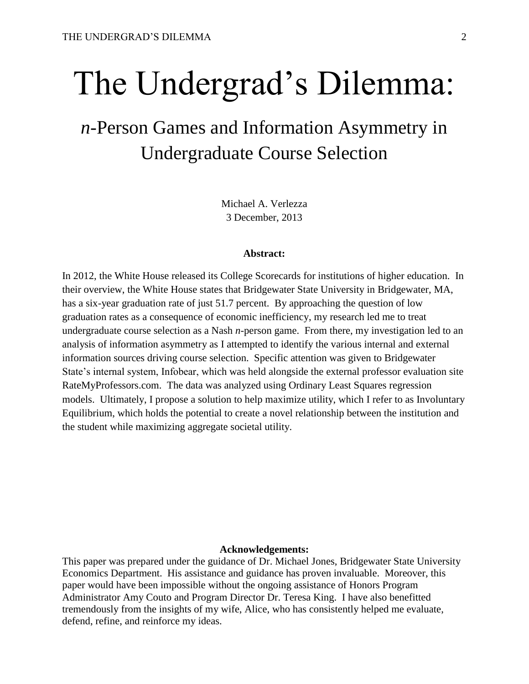# The Undergrad's Dilemma:

# *n*-Person Games and Information Asymmetry in Undergraduate Course Selection

Michael A. Verlezza 3 December, 2013

#### **Abstract:**

In 2012, the White House released its College Scorecards for institutions of higher education. In their overview, the White House states that Bridgewater State University in Bridgewater, MA, has a six-year graduation rate of just 51.7 percent. By approaching the question of low graduation rates as a consequence of economic inefficiency, my research led me to treat undergraduate course selection as a Nash *n*-person game. From there, my investigation led to an analysis of information asymmetry as I attempted to identify the various internal and external information sources driving course selection. Specific attention was given to Bridgewater State's internal system, Infobear, which was held alongside the external professor evaluation site RateMyProfessors.com. The data was analyzed using Ordinary Least Squares regression models. Ultimately, I propose a solution to help maximize utility, which I refer to as Involuntary Equilibrium, which holds the potential to create a novel relationship between the institution and the student while maximizing aggregate societal utility.

#### **Acknowledgements:**

This paper was prepared under the guidance of Dr. Michael Jones, Bridgewater State University Economics Department. His assistance and guidance has proven invaluable. Moreover, this paper would have been impossible without the ongoing assistance of Honors Program Administrator Amy Couto and Program Director Dr. Teresa King. I have also benefitted tremendously from the insights of my wife, Alice, who has consistently helped me evaluate, defend, refine, and reinforce my ideas.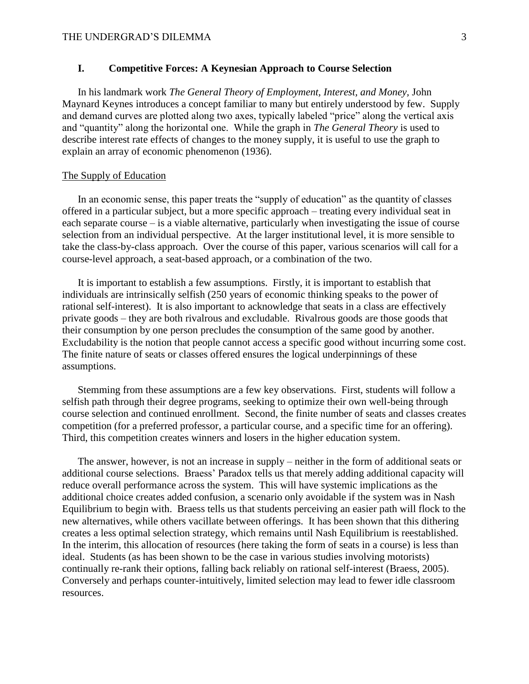# **I. Competitive Forces: A Keynesian Approach to Course Selection**

In his landmark work *The General Theory of Employment, Interest, and Money,* John Maynard Keynes introduces a concept familiar to many but entirely understood by few. Supply and demand curves are plotted along two axes, typically labeled "price" along the vertical axis and "quantity" along the horizontal one. While the graph in *The General Theory* is used to describe interest rate effects of changes to the money supply, it is useful to use the graph to explain an array of economic phenomenon (1936).

#### The Supply of Education

In an economic sense, this paper treats the "supply of education" as the quantity of classes offered in a particular subject, but a more specific approach – treating every individual seat in each separate course – is a viable alternative, particularly when investigating the issue of course selection from an individual perspective. At the larger institutional level, it is more sensible to take the class-by-class approach. Over the course of this paper, various scenarios will call for a course-level approach, a seat-based approach, or a combination of the two.

It is important to establish a few assumptions. Firstly, it is important to establish that individuals are intrinsically selfish (250 years of economic thinking speaks to the power of rational self-interest). It is also important to acknowledge that seats in a class are effectively private goods – they are both rivalrous and excludable. Rivalrous goods are those goods that their consumption by one person precludes the consumption of the same good by another. Excludability is the notion that people cannot access a specific good without incurring some cost. The finite nature of seats or classes offered ensures the logical underpinnings of these assumptions.

Stemming from these assumptions are a few key observations. First, students will follow a selfish path through their degree programs, seeking to optimize their own well-being through course selection and continued enrollment. Second, the finite number of seats and classes creates competition (for a preferred professor, a particular course, and a specific time for an offering). Third, this competition creates winners and losers in the higher education system.

The answer, however, is not an increase in supply – neither in the form of additional seats or additional course selections. Braess' Paradox tells us that merely adding additional capacity will reduce overall performance across the system. This will have systemic implications as the additional choice creates added confusion, a scenario only avoidable if the system was in Nash Equilibrium to begin with. Braess tells us that students perceiving an easier path will flock to the new alternatives, while others vacillate between offerings. It has been shown that this dithering creates a less optimal selection strategy, which remains until Nash Equilibrium is reestablished. In the interim, this allocation of resources (here taking the form of seats in a course) is less than ideal. Students (as has been shown to be the case in various studies involving motorists) continually re-rank their options, falling back reliably on rational self-interest (Braess, 2005). Conversely and perhaps counter-intuitively, limited selection may lead to fewer idle classroom resources.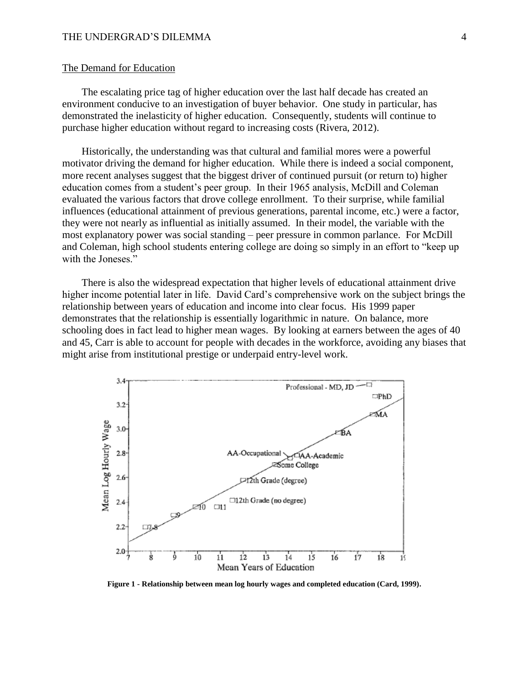#### The Demand for Education

The escalating price tag of higher education over the last half decade has created an environment conducive to an investigation of buyer behavior. One study in particular, has demonstrated the inelasticity of higher education. Consequently, students will continue to purchase higher education without regard to increasing costs (Rivera, 2012).

Historically, the understanding was that cultural and familial mores were a powerful motivator driving the demand for higher education. While there is indeed a social component, more recent analyses suggest that the biggest driver of continued pursuit (or return to) higher education comes from a student's peer group. In their 1965 analysis, McDill and Coleman evaluated the various factors that drove college enrollment. To their surprise, while familial influences (educational attainment of previous generations, parental income, etc.) were a factor, they were not nearly as influential as initially assumed. In their model, the variable with the most explanatory power was social standing – peer pressure in common parlance. For McDill and Coleman, high school students entering college are doing so simply in an effort to "keep up with the Joneses."

There is also the widespread expectation that higher levels of educational attainment drive higher income potential later in life. David Card's comprehensive work on the subject brings the relationship between years of education and income into clear focus. His 1999 paper demonstrates that the relationship is essentially logarithmic in nature. On balance, more schooling does in fact lead to higher mean wages. By looking at earners between the ages of 40 and 45, Carr is able to account for people with decades in the workforce, avoiding any biases that might arise from institutional prestige or underpaid entry-level work.



**Figure 1 - Relationship between mean log hourly wages and completed education (Card, 1999).**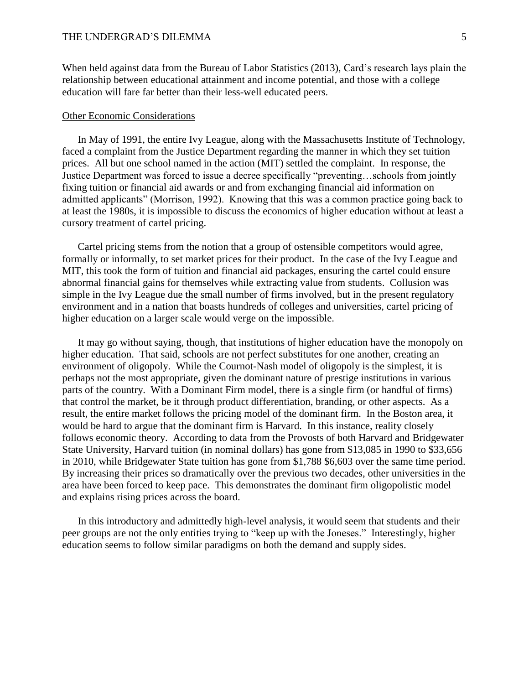When held against data from the Bureau of Labor Statistics (2013), Card's research lays plain the relationship between educational attainment and income potential, and those with a college education will fare far better than their less-well educated peers.

#### Other Economic Considerations

In May of 1991, the entire Ivy League, along with the Massachusetts Institute of Technology, faced a complaint from the Justice Department regarding the manner in which they set tuition prices. All but one school named in the action (MIT) settled the complaint. In response, the Justice Department was forced to issue a decree specifically "preventing…schools from jointly fixing tuition or financial aid awards or and from exchanging financial aid information on admitted applicants" (Morrison, 1992). Knowing that this was a common practice going back to at least the 1980s, it is impossible to discuss the economics of higher education without at least a cursory treatment of cartel pricing.

Cartel pricing stems from the notion that a group of ostensible competitors would agree, formally or informally, to set market prices for their product. In the case of the Ivy League and MIT, this took the form of tuition and financial aid packages, ensuring the cartel could ensure abnormal financial gains for themselves while extracting value from students. Collusion was simple in the Ivy League due the small number of firms involved, but in the present regulatory environment and in a nation that boasts hundreds of colleges and universities, cartel pricing of higher education on a larger scale would verge on the impossible.

It may go without saying, though, that institutions of higher education have the monopoly on higher education. That said, schools are not perfect substitutes for one another, creating an environment of oligopoly. While the Cournot-Nash model of oligopoly is the simplest, it is perhaps not the most appropriate, given the dominant nature of prestige institutions in various parts of the country. With a Dominant Firm model, there is a single firm (or handful of firms) that control the market, be it through product differentiation, branding, or other aspects. As a result, the entire market follows the pricing model of the dominant firm. In the Boston area, it would be hard to argue that the dominant firm is Harvard. In this instance, reality closely follows economic theory. According to data from the Provosts of both Harvard and Bridgewater State University, Harvard tuition (in nominal dollars) has gone from \$13,085 in 1990 to \$33,656 in 2010, while Bridgewater State tuition has gone from \$1,788 \$6,603 over the same time period. By increasing their prices so dramatically over the previous two decades, other universities in the area have been forced to keep pace. This demonstrates the dominant firm oligopolistic model and explains rising prices across the board.

In this introductory and admittedly high-level analysis, it would seem that students and their peer groups are not the only entities trying to "keep up with the Joneses." Interestingly, higher education seems to follow similar paradigms on both the demand and supply sides.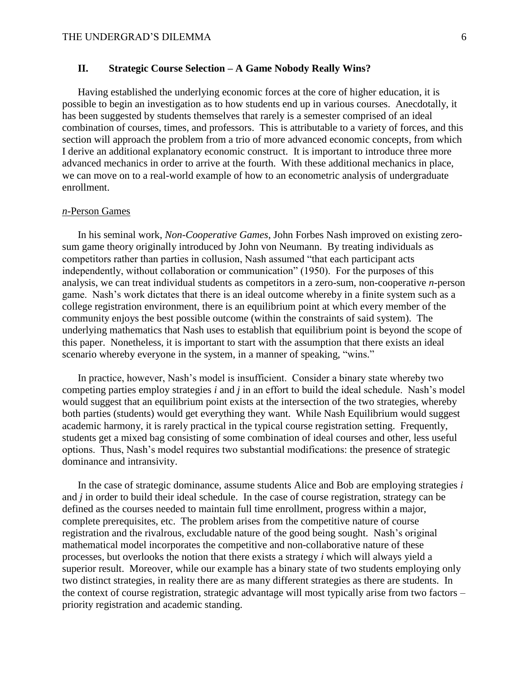# **II. Strategic Course Selection – A Game Nobody Really Wins?**

Having established the underlying economic forces at the core of higher education, it is possible to begin an investigation as to how students end up in various courses. Anecdotally, it has been suggested by students themselves that rarely is a semester comprised of an ideal combination of courses, times, and professors. This is attributable to a variety of forces, and this section will approach the problem from a trio of more advanced economic concepts, from which I derive an additional explanatory economic construct. It is important to introduce three more advanced mechanics in order to arrive at the fourth. With these additional mechanics in place, we can move on to a real-world example of how to an econometric analysis of undergraduate enrollment.

# *n*-Person Games

In his seminal work, *Non-Cooperative Games*, John Forbes Nash improved on existing zerosum game theory originally introduced by John von Neumann. By treating individuals as competitors rather than parties in collusion, Nash assumed "that each participant acts independently, without collaboration or communication" (1950). For the purposes of this analysis, we can treat individual students as competitors in a zero-sum, non-cooperative *n*-person game. Nash's work dictates that there is an ideal outcome whereby in a finite system such as a college registration environment, there is an equilibrium point at which every member of the community enjoys the best possible outcome (within the constraints of said system). The underlying mathematics that Nash uses to establish that equilibrium point is beyond the scope of this paper. Nonetheless, it is important to start with the assumption that there exists an ideal scenario whereby everyone in the system, in a manner of speaking, "wins."

In practice, however, Nash's model is insufficient. Consider a binary state whereby two competing parties employ strategies *i* and *j* in an effort to build the ideal schedule. Nash's model would suggest that an equilibrium point exists at the intersection of the two strategies, whereby both parties (students) would get everything they want. While Nash Equilibrium would suggest academic harmony, it is rarely practical in the typical course registration setting. Frequently, students get a mixed bag consisting of some combination of ideal courses and other, less useful options. Thus, Nash's model requires two substantial modifications: the presence of strategic dominance and intransivity.

In the case of strategic dominance, assume students Alice and Bob are employing strategies *i* and *j* in order to build their ideal schedule. In the case of course registration, strategy can be defined as the courses needed to maintain full time enrollment, progress within a major, complete prerequisites, etc. The problem arises from the competitive nature of course registration and the rivalrous, excludable nature of the good being sought. Nash's original mathematical model incorporates the competitive and non-collaborative nature of these processes, but overlooks the notion that there exists a strategy *i* which will always yield a superior result. Moreover, while our example has a binary state of two students employing only two distinct strategies, in reality there are as many different strategies as there are students. In the context of course registration, strategic advantage will most typically arise from two factors – priority registration and academic standing.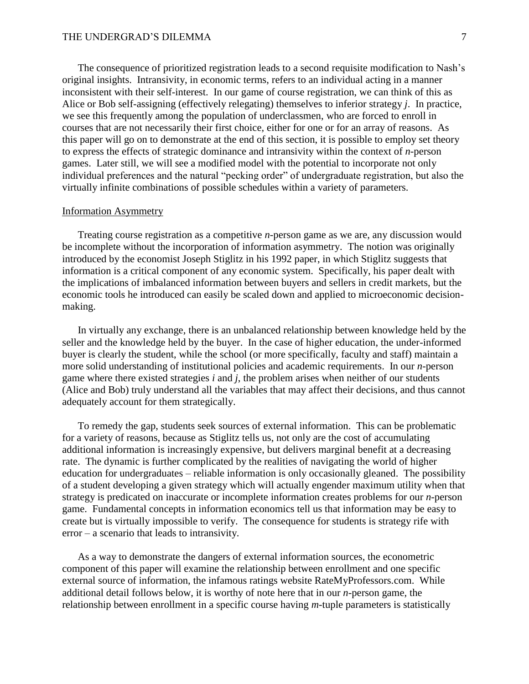The consequence of prioritized registration leads to a second requisite modification to Nash's original insights. Intransivity, in economic terms, refers to an individual acting in a manner inconsistent with their self-interest. In our game of course registration, we can think of this as Alice or Bob self-assigning (effectively relegating) themselves to inferior strategy *j*. In practice, we see this frequently among the population of underclassmen, who are forced to enroll in courses that are not necessarily their first choice, either for one or for an array of reasons. As this paper will go on to demonstrate at the end of this section, it is possible to employ set theory to express the effects of strategic dominance and intransivity within the context of *n*-person games. Later still, we will see a modified model with the potential to incorporate not only individual preferences and the natural "pecking order" of undergraduate registration, but also the virtually infinite combinations of possible schedules within a variety of parameters.

## Information Asymmetry

Treating course registration as a competitive *n*-person game as we are, any discussion would be incomplete without the incorporation of information asymmetry. The notion was originally introduced by the economist Joseph Stiglitz in his 1992 paper, in which Stiglitz suggests that information is a critical component of any economic system. Specifically, his paper dealt with the implications of imbalanced information between buyers and sellers in credit markets, but the economic tools he introduced can easily be scaled down and applied to microeconomic decisionmaking.

In virtually any exchange, there is an unbalanced relationship between knowledge held by the seller and the knowledge held by the buyer. In the case of higher education, the under-informed buyer is clearly the student, while the school (or more specifically, faculty and staff) maintain a more solid understanding of institutional policies and academic requirements. In our *n*-person game where there existed strategies *i* and *j*, the problem arises when neither of our students (Alice and Bob) truly understand all the variables that may affect their decisions, and thus cannot adequately account for them strategically.

To remedy the gap, students seek sources of external information. This can be problematic for a variety of reasons, because as Stiglitz tells us, not only are the cost of accumulating additional information is increasingly expensive, but delivers marginal benefit at a decreasing rate. The dynamic is further complicated by the realities of navigating the world of higher education for undergraduates – reliable information is only occasionally gleaned. The possibility of a student developing a given strategy which will actually engender maximum utility when that strategy is predicated on inaccurate or incomplete information creates problems for our *n*-person game. Fundamental concepts in information economics tell us that information may be easy to create but is virtually impossible to verify. The consequence for students is strategy rife with error – a scenario that leads to intransivity.

As a way to demonstrate the dangers of external information sources, the econometric component of this paper will examine the relationship between enrollment and one specific external source of information, the infamous ratings website RateMyProfessors.com. While additional detail follows below, it is worthy of note here that in our *n*-person game, the relationship between enrollment in a specific course having *m*-tuple parameters is statistically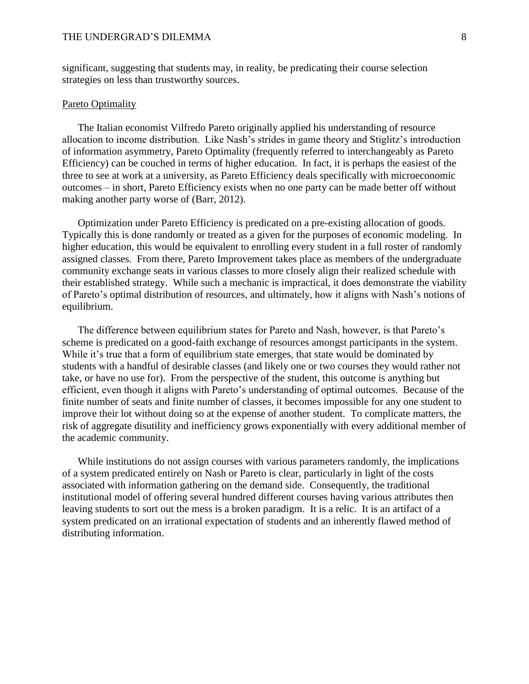significant, suggesting that students may, in reality, be predicating their course selection strategies on less than trustworthy sources.

# Pareto Optimality

The Italian economist Vilfredo Pareto originally applied his understanding of resource allocation to income distribution. Like Nash's strides in game theory and Stiglitz's introduction of information asymmetry, Pareto Optimality (frequently referred to interchangeably as Pareto Efficiency) can be couched in terms of higher education. In fact, it is perhaps the easiest of the three to see at work at a university, as Pareto Efficiency deals specifically with microeconomic outcomes – in short, Pareto Efficiency exists when no one party can be made better off without making another party worse of (Barr, 2012).

Optimization under Pareto Efficiency is predicated on a pre-existing allocation of goods. Typically this is done randomly or treated as a given for the purposes of economic modeling. In higher education, this would be equivalent to enrolling every student in a full roster of randomly assigned classes. From there, Pareto Improvement takes place as members of the undergraduate community exchange seats in various classes to more closely align their realized schedule with their established strategy. While such a mechanic is impractical, it does demonstrate the viability of Pareto's optimal distribution of resources, and ultimately, how it aligns with Nash's notions of equilibrium.

The difference between equilibrium states for Pareto and Nash, however, is that Pareto's scheme is predicated on a good-faith exchange of resources amongst participants in the system. While it's true that a form of equilibrium state emerges, that state would be dominated by students with a handful of desirable classes (and likely one or two courses they would rather not take, or have no use for). From the perspective of the student, this outcome is anything but efficient, even though it aligns with Pareto's understanding of optimal outcomes. Because of the finite number of seats and finite number of classes, it becomes impossible for any one student to improve their lot without doing so at the expense of another student. To complicate matters, the risk of aggregate disutility and inefficiency grows exponentially with every additional member of the academic community.

While institutions do not assign courses with various parameters randomly, the implications of a system predicated entirely on Nash or Pareto is clear, particularly in light of the costs associated with information gathering on the demand side. Consequently, the traditional institutional model of offering several hundred different courses having various attributes then leaving students to sort out the mess is a broken paradigm. It is a relic. It is an artifact of a system predicated on an irrational expectation of students and an inherently flawed method of distributing information.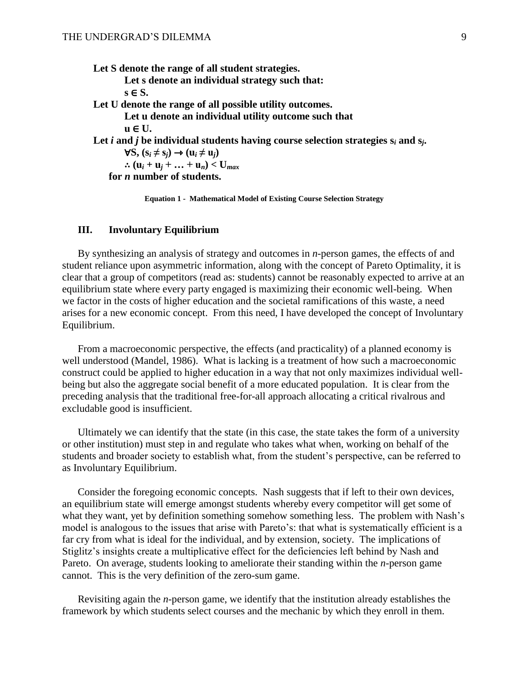**Let S denote the range of all student strategies.**

- **Let s denote an individual strategy such that: s** ∈ **S.**
- **Let U denote the range of all possible utility outcomes.**

```
Let u denote an individual utility outcome such that 
\mathbf{u} \in \mathbf{U}.
```
Let *i* and *j* be individual students having course selection strategies  $s_i$  and  $s_j$ .

∀**S, (s***<sup>i</sup>* **≠ s***j***)** ⇾ **(u***<sup>i</sup>* **≠ u***j***)**  $\therefore$   $(\mathbf{u}_i + \mathbf{u}_j + \dots + \mathbf{u}_n) < \mathbf{U}_{max}$ 

**for** *n* **number of students.**

**Equation 1 - Mathematical Model of Existing Course Selection Strategy**

#### **III. Involuntary Equilibrium**

By synthesizing an analysis of strategy and outcomes in *n*-person games, the effects of and student reliance upon asymmetric information, along with the concept of Pareto Optimality, it is clear that a group of competitors (read as: students) cannot be reasonably expected to arrive at an equilibrium state where every party engaged is maximizing their economic well-being. When we factor in the costs of higher education and the societal ramifications of this waste, a need arises for a new economic concept. From this need, I have developed the concept of Involuntary Equilibrium.

From a macroeconomic perspective, the effects (and practicality) of a planned economy is well understood (Mandel, 1986). What is lacking is a treatment of how such a macroeconomic construct could be applied to higher education in a way that not only maximizes individual wellbeing but also the aggregate social benefit of a more educated population. It is clear from the preceding analysis that the traditional free-for-all approach allocating a critical rivalrous and excludable good is insufficient.

Ultimately we can identify that the state (in this case, the state takes the form of a university or other institution) must step in and regulate who takes what when, working on behalf of the students and broader society to establish what, from the student's perspective, can be referred to as Involuntary Equilibrium.

Consider the foregoing economic concepts. Nash suggests that if left to their own devices, an equilibrium state will emerge amongst students whereby every competitor will get some of what they want, yet by definition something somehow something less. The problem with Nash's model is analogous to the issues that arise with Pareto's: that what is systematically efficient is a far cry from what is ideal for the individual, and by extension, society. The implications of Stiglitz's insights create a multiplicative effect for the deficiencies left behind by Nash and Pareto. On average, students looking to ameliorate their standing within the *n-*person game cannot. This is the very definition of the zero-sum game.

Revisiting again the *n-*person game, we identify that the institution already establishes the framework by which students select courses and the mechanic by which they enroll in them.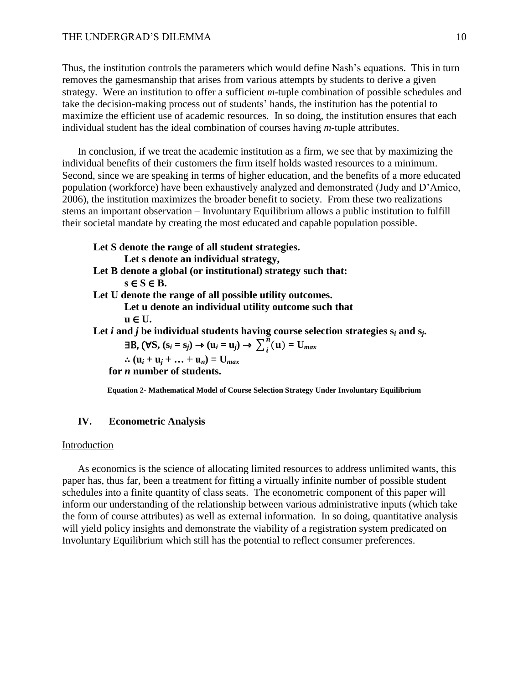Thus, the institution controls the parameters which would define Nash's equations. This in turn removes the gamesmanship that arises from various attempts by students to derive a given strategy. Were an institution to offer a sufficient *m*-tuple combination of possible schedules and take the decision-making process out of students' hands, the institution has the potential to maximize the efficient use of academic resources. In so doing, the institution ensures that each individual student has the ideal combination of courses having *m*-tuple attributes.

In conclusion, if we treat the academic institution as a firm, we see that by maximizing the individual benefits of their customers the firm itself holds wasted resources to a minimum. Second, since we are speaking in terms of higher education, and the benefits of a more educated population (workforce) have been exhaustively analyzed and demonstrated (Judy and D'Amico, 2006), the institution maximizes the broader benefit to society. From these two realizations stems an important observation – Involuntary Equilibrium allows a public institution to fulfill their societal mandate by creating the most educated and capable population possible.

**Let S denote the range of all student strategies. Let s denote an individual strategy, Let B denote a global (or institutional) strategy such that:**  $s \in S \in B$ . **Let U denote the range of all possible utility outcomes. Let u denote an individual utility outcome such that u** ∈ **U.** Let  $i$  and  $j$  be individual students having course selection strategies  $s_i$  and  $s_j$ .  $\exists B$ ,  $(\forall S, (s_i = s_j) \rightarrow (u_i = u_j) \rightarrow \sum_{i=1}^{n} (u_i - v_j)$  $\binom{n}{i}$ **u** $)$  = **U**<sub>*max*</sub>  $\therefore$   $(\mathbf{u}_i + \mathbf{u}_j + \dots + \mathbf{u}_n) = \mathbf{U}_{max}$ **for** *n* **number of students.**

**Equation 2- Mathematical Model of Course Selection Strategy Under Involuntary Equilibrium**

#### **IV. Econometric Analysis**

#### Introduction

As economics is the science of allocating limited resources to address unlimited wants, this paper has, thus far, been a treatment for fitting a virtually infinite number of possible student schedules into a finite quantity of class seats. The econometric component of this paper will inform our understanding of the relationship between various administrative inputs (which take the form of course attributes) as well as external information. In so doing, quantitative analysis will yield policy insights and demonstrate the viability of a registration system predicated on Involuntary Equilibrium which still has the potential to reflect consumer preferences.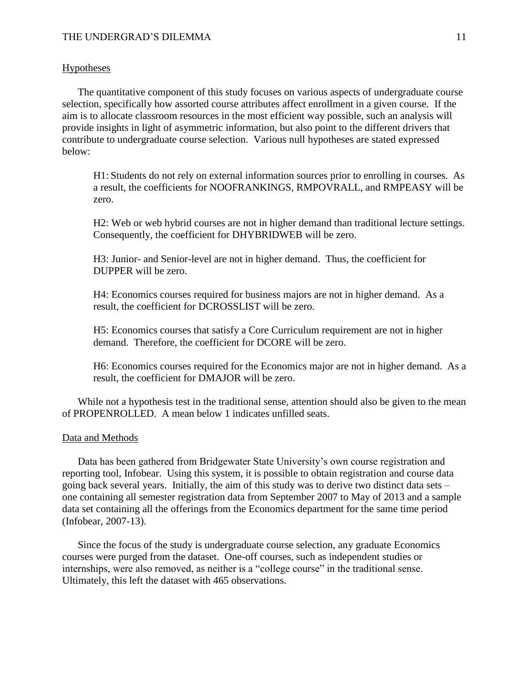### Hypotheses

The quantitative component of this study focuses on various aspects of undergraduate course selection, specifically how assorted course attributes affect enrollment in a given course. If the aim is to allocate classroom resources in the most efficient way possible, such an analysis will provide insights in light of asymmetric information, but also point to the different drivers that contribute to undergraduate course selection. Various null hypotheses are stated expressed below:

H1: Students do not rely on external information sources prior to enrolling in courses. As a result, the coefficients for NOOFRANKINGS, RMPOVRALL, and RMPEASY will be zero.

H2: Web or web hybrid courses are not in higher demand than traditional lecture settings. Consequently, the coefficient for DHYBRIDWEB will be zero.

H3: Junior- and Senior-level are not in higher demand. Thus, the coefficient for DUPPER will be zero.

H4: Economics courses required for business majors are not in higher demand. As a result, the coefficient for DCROSSLIST will be zero.

H5: Economics courses that satisfy a Core Curriculum requirement are not in higher demand. Therefore, the coefficient for DCORE will be zero.

H6: Economics courses required for the Economics major are not in higher demand. As a result, the coefficient for DMAJOR will be zero.

While not a hypothesis test in the traditional sense, attention should also be given to the mean of PROPENROLLED. A mean below 1 indicates unfilled seats.

#### Data and Methods

Data has been gathered from Bridgewater State University's own course registration and reporting tool, Infobear. Using this system, it is possible to obtain registration and course data going back several years. Initially, the aim of this study was to derive two distinct data sets – one containing all semester registration data from September 2007 to May of 2013 and a sample data set containing all the offerings from the Economics department for the same time period (Infobear, 2007-13).

Since the focus of the study is undergraduate course selection, any graduate Economics courses were purged from the dataset. One-off courses, such as independent studies or internships, were also removed, as neither is a "college course" in the traditional sense. Ultimately, this left the dataset with 465 observations.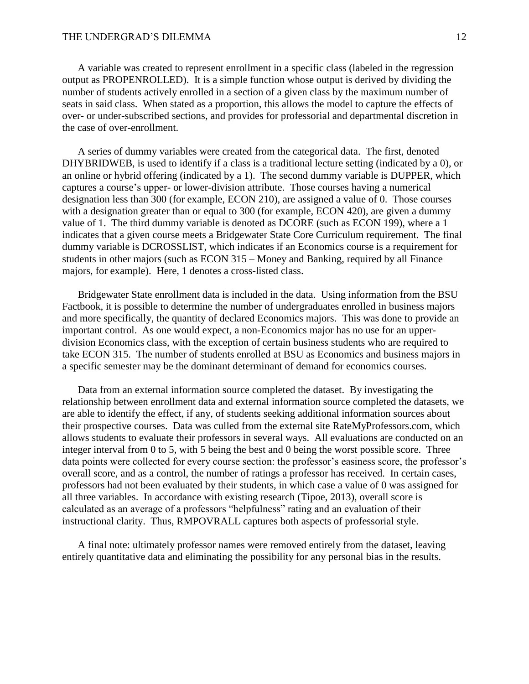A variable was created to represent enrollment in a specific class (labeled in the regression output as PROPENROLLED). It is a simple function whose output is derived by dividing the number of students actively enrolled in a section of a given class by the maximum number of seats in said class. When stated as a proportion, this allows the model to capture the effects of over- or under-subscribed sections, and provides for professorial and departmental discretion in the case of over-enrollment.

A series of dummy variables were created from the categorical data. The first, denoted DHYBRIDWEB, is used to identify if a class is a traditional lecture setting (indicated by a 0), or an online or hybrid offering (indicated by a 1). The second dummy variable is DUPPER, which captures a course's upper- or lower-division attribute. Those courses having a numerical designation less than 300 (for example, ECON 210), are assigned a value of 0. Those courses with a designation greater than or equal to 300 (for example, ECON 420), are given a dummy value of 1. The third dummy variable is denoted as DCORE (such as ECON 199), where a 1 indicates that a given course meets a Bridgewater State Core Curriculum requirement. The final dummy variable is DCROSSLIST, which indicates if an Economics course is a requirement for students in other majors (such as ECON 315 – Money and Banking, required by all Finance majors, for example). Here, 1 denotes a cross-listed class.

Bridgewater State enrollment data is included in the data. Using information from the BSU Factbook, it is possible to determine the number of undergraduates enrolled in business majors and more specifically, the quantity of declared Economics majors. This was done to provide an important control. As one would expect, a non-Economics major has no use for an upperdivision Economics class, with the exception of certain business students who are required to take ECON 315. The number of students enrolled at BSU as Economics and business majors in a specific semester may be the dominant determinant of demand for economics courses.

Data from an external information source completed the dataset. By investigating the relationship between enrollment data and external information source completed the datasets, we are able to identify the effect, if any, of students seeking additional information sources about their prospective courses. Data was culled from the external site RateMyProfessors.com, which allows students to evaluate their professors in several ways. All evaluations are conducted on an integer interval from 0 to 5, with 5 being the best and 0 being the worst possible score. Three data points were collected for every course section: the professor's easiness score, the professor's overall score, and as a control, the number of ratings a professor has received. In certain cases, professors had not been evaluated by their students, in which case a value of 0 was assigned for all three variables. In accordance with existing research (Tipoe, 2013), overall score is calculated as an average of a professors "helpfulness" rating and an evaluation of their instructional clarity. Thus, RMPOVRALL captures both aspects of professorial style.

A final note: ultimately professor names were removed entirely from the dataset, leaving entirely quantitative data and eliminating the possibility for any personal bias in the results.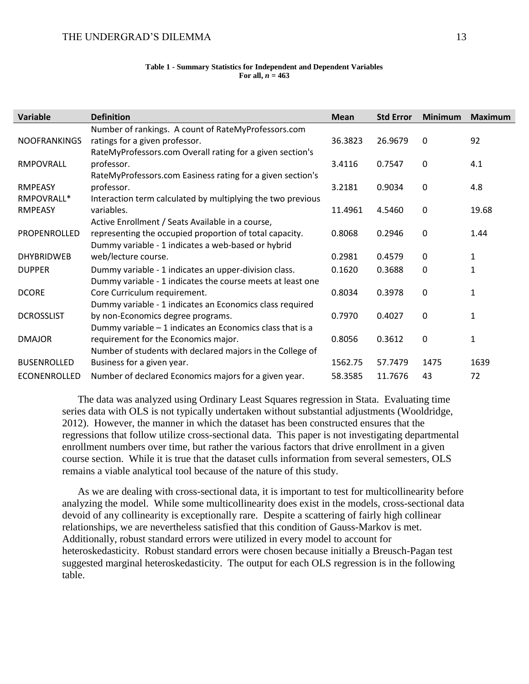#### **Table 1 - Summary Statistics for Independent and Dependent Variables** For all,  $n = 463$

| Variable            | <b>Definition</b>                                           | <b>Mean</b> | <b>Std Error</b> | <b>Minimum</b> | Maximum      |
|---------------------|-------------------------------------------------------------|-------------|------------------|----------------|--------------|
|                     | Number of rankings. A count of RateMyProfessors.com         |             |                  |                |              |
| <b>NOOFRANKINGS</b> | ratings for a given professor.                              | 36.3823     | 26.9679          | $\mathbf{0}$   | 92           |
|                     | RateMyProfessors.com Overall rating for a given section's   |             |                  |                |              |
| RMPOVRALL           | professor.                                                  | 3.4116      | 0.7547           | $\Omega$       | 4.1          |
|                     | RateMyProfessors.com Easiness rating for a given section's  |             |                  |                |              |
| <b>RMPEASY</b>      | professor.                                                  | 3.2181      | 0.9034           | $\mathbf{0}$   | 4.8          |
| RMPOVRALL*          | Interaction term calculated by multiplying the two previous |             |                  |                |              |
| <b>RMPEASY</b>      | variables.                                                  | 11.4961     | 4.5460           | $\mathbf 0$    | 19.68        |
|                     | Active Enrollment / Seats Available in a course,            |             |                  |                |              |
| PROPENROLLED        | representing the occupied proportion of total capacity.     | 0.8068      | 0.2946           | $\mathbf{0}$   | 1.44         |
|                     | Dummy variable - 1 indicates a web-based or hybrid          |             |                  |                |              |
| <b>DHYBRIDWEB</b>   | web/lecture course.                                         | 0.2981      | 0.4579           | $\mathbf{0}$   | 1            |
| <b>DUPPER</b>       | Dummy variable - 1 indicates an upper-division class.       | 0.1620      | 0.3688           | $\mathbf{0}$   | 1            |
|                     | Dummy variable - 1 indicates the course meets at least one  |             |                  |                |              |
| <b>DCORE</b>        | Core Curriculum requirement.                                | 0.8034      | 0.3978           | $\mathbf{0}$   | 1            |
|                     | Dummy variable - 1 indicates an Economics class required    |             |                  |                |              |
| <b>DCROSSLIST</b>   | by non-Economics degree programs.                           | 0.7970      | 0.4027           | $\mathbf{0}$   | $\mathbf{1}$ |
|                     | Dummy variable $-1$ indicates an Economics class that is a  |             |                  |                |              |
| <b>DMAJOR</b>       | requirement for the Economics major.                        | 0.8056      | 0.3612           | 0              | 1            |
|                     | Number of students with declared majors in the College of   |             |                  |                |              |
| <b>BUSENROLLED</b>  | Business for a given year.                                  | 1562.75     | 57.7479          | 1475           | 1639         |
| ECONENROLLED        | Number of declared Economics majors for a given year.       | 58.3585     | 11.7676          | 43             | 72           |

The data was analyzed using Ordinary Least Squares regression in Stata. Evaluating time series data with OLS is not typically undertaken without substantial adjustments (Wooldridge, 2012). However, the manner in which the dataset has been constructed ensures that the regressions that follow utilize cross-sectional data. This paper is not investigating departmental enrollment numbers over time, but rather the various factors that drive enrollment in a given course section. While it is true that the dataset culls information from several semesters, OLS remains a viable analytical tool because of the nature of this study.

As we are dealing with cross-sectional data, it is important to test for multicollinearity before analyzing the model. While some multicollinearity does exist in the models, cross-sectional data devoid of any collinearity is exceptionally rare. Despite a scattering of fairly high collinear relationships, we are nevertheless satisfied that this condition of Gauss-Markov is met. Additionally, robust standard errors were utilized in every model to account for heteroskedasticity. Robust standard errors were chosen because initially a Breusch-Pagan test suggested marginal heteroskedasticity. The output for each OLS regression is in the following table.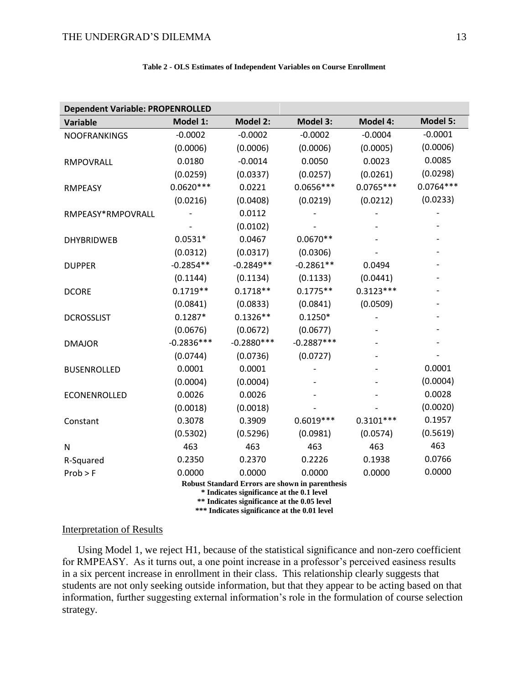| Table 2 - OLS Estimates of Independent Variables on Course Enrollment |  |  |
|-----------------------------------------------------------------------|--|--|
|-----------------------------------------------------------------------|--|--|

| <b>Dependent Variable: PROPENROLLED</b>                                                             |              |                 |                 |                 |                 |  |  |  |
|-----------------------------------------------------------------------------------------------------|--------------|-----------------|-----------------|-----------------|-----------------|--|--|--|
| <b>Variable</b>                                                                                     | Model 1:     | <b>Model 2:</b> | <b>Model 3:</b> | <b>Model 4:</b> | <b>Model 5:</b> |  |  |  |
| <b>NOOFRANKINGS</b>                                                                                 | $-0.0002$    | $-0.0002$       | $-0.0002$       | $-0.0004$       | $-0.0001$       |  |  |  |
|                                                                                                     | (0.0006)     | (0.0006)        | (0.0006)        | (0.0005)        | (0.0006)        |  |  |  |
| RMPOVRALL                                                                                           | 0.0180       | $-0.0014$       | 0.0050          | 0.0023          | 0.0085          |  |  |  |
|                                                                                                     | (0.0259)     | (0.0337)        | (0.0257)        | (0.0261)        | (0.0298)        |  |  |  |
| <b>RMPEASY</b>                                                                                      | $0.0620***$  | 0.0221          | $0.0656***$     | $0.0765***$     | $0.0764***$     |  |  |  |
|                                                                                                     | (0.0216)     | (0.0408)        | (0.0219)        | (0.0212)        | (0.0233)        |  |  |  |
| RMPEASY*RMPOVRALL                                                                                   |              | 0.0112          |                 |                 |                 |  |  |  |
|                                                                                                     |              | (0.0102)        |                 |                 |                 |  |  |  |
| <b>DHYBRIDWEB</b>                                                                                   | $0.0531*$    | 0.0467          | $0.0670**$      |                 |                 |  |  |  |
|                                                                                                     | (0.0312)     | (0.0317)        | (0.0306)        |                 |                 |  |  |  |
| <b>DUPPER</b>                                                                                       | $-0.2854**$  | $-0.2849**$     | $-0.2861**$     | 0.0494          |                 |  |  |  |
|                                                                                                     | (0.1144)     | (0.1134)        | (0.1133)        | (0.0441)        |                 |  |  |  |
| <b>DCORE</b>                                                                                        | $0.1719**$   | $0.1718**$      | $0.1775**$      | $0.3123***$     |                 |  |  |  |
|                                                                                                     | (0.0841)     | (0.0833)        | (0.0841)        | (0.0509)        |                 |  |  |  |
| <b>DCROSSLIST</b>                                                                                   | $0.1287*$    | $0.1326**$      | $0.1250*$       |                 |                 |  |  |  |
|                                                                                                     | (0.0676)     | (0.0672)        | (0.0677)        |                 |                 |  |  |  |
| <b>DMAJOR</b>                                                                                       | $-0.2836***$ | $-0.2880***$    | $-0.2887***$    |                 |                 |  |  |  |
|                                                                                                     | (0.0744)     | (0.0736)        | (0.0727)        |                 |                 |  |  |  |
| <b>BUSENROLLED</b>                                                                                  | 0.0001       | 0.0001          |                 |                 | 0.0001          |  |  |  |
|                                                                                                     | (0.0004)     | (0.0004)        |                 |                 | (0.0004)        |  |  |  |
| ECONENROLLED                                                                                        | 0.0026       | 0.0026          |                 |                 | 0.0028          |  |  |  |
|                                                                                                     | (0.0018)     | (0.0018)        |                 |                 | (0.0020)        |  |  |  |
| Constant                                                                                            | 0.3078       | 0.3909          | $0.6019***$     | $0.3101***$     | 0.1957          |  |  |  |
|                                                                                                     | (0.5302)     | (0.5296)        | (0.0981)        | (0.0574)        | (0.5619)        |  |  |  |
| N                                                                                                   | 463          | 463             | 463             | 463             | 463             |  |  |  |
| R-Squared                                                                                           | 0.2350       | 0.2370          | 0.2226          | 0.1938          | 0.0766          |  |  |  |
| $Prob$ > F                                                                                          | 0.0000       | 0.0000          | 0.0000          | 0.0000          | 0.0000          |  |  |  |
| <b>Robust Standard Errors are shown in parenthesis</b><br>* Indicates significance at the 0.1 level |              |                 |                 |                 |                 |  |  |  |
| ** Indicates significance at the 0.05 level                                                         |              |                 |                 |                 |                 |  |  |  |

**\*\*\* Indicates significance at the 0.01 level**

# Interpretation of Results

Using Model 1, we reject H1, because of the statistical significance and non-zero coefficient for RMPEASY. As it turns out, a one point increase in a professor's perceived easiness results in a six percent increase in enrollment in their class. This relationship clearly suggests that students are not only seeking outside information, but that they appear to be acting based on that information, further suggesting external information's role in the formulation of course selection strategy.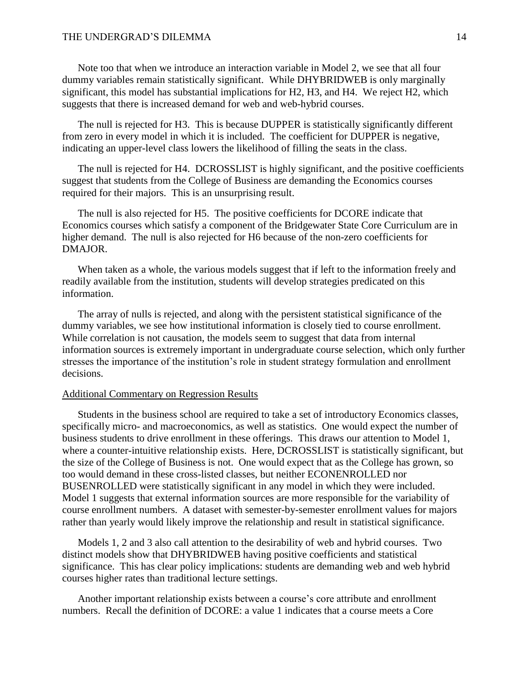Note too that when we introduce an interaction variable in Model 2, we see that all four dummy variables remain statistically significant. While DHYBRIDWEB is only marginally significant, this model has substantial implications for H2, H3, and H4. We reject H2, which suggests that there is increased demand for web and web-hybrid courses.

The null is rejected for H3. This is because DUPPER is statistically significantly different from zero in every model in which it is included. The coefficient for DUPPER is negative, indicating an upper-level class lowers the likelihood of filling the seats in the class.

The null is rejected for H4. DCROSSLIST is highly significant, and the positive coefficients suggest that students from the College of Business are demanding the Economics courses required for their majors. This is an unsurprising result.

The null is also rejected for H5. The positive coefficients for DCORE indicate that Economics courses which satisfy a component of the Bridgewater State Core Curriculum are in higher demand. The null is also rejected for H6 because of the non-zero coefficients for DMAJOR.

When taken as a whole, the various models suggest that if left to the information freely and readily available from the institution, students will develop strategies predicated on this information.

The array of nulls is rejected, and along with the persistent statistical significance of the dummy variables, we see how institutional information is closely tied to course enrollment. While correlation is not causation, the models seem to suggest that data from internal information sources is extremely important in undergraduate course selection, which only further stresses the importance of the institution's role in student strategy formulation and enrollment decisions.

#### Additional Commentary on Regression Results

Students in the business school are required to take a set of introductory Economics classes, specifically micro- and macroeconomics, as well as statistics. One would expect the number of business students to drive enrollment in these offerings. This draws our attention to Model 1, where a counter-intuitive relationship exists. Here, DCROSSLIST is statistically significant, but the size of the College of Business is not. One would expect that as the College has grown, so too would demand in these cross-listed classes, but neither ECONENROLLED nor BUSENROLLED were statistically significant in any model in which they were included. Model 1 suggests that external information sources are more responsible for the variability of course enrollment numbers. A dataset with semester-by-semester enrollment values for majors rather than yearly would likely improve the relationship and result in statistical significance.

Models 1, 2 and 3 also call attention to the desirability of web and hybrid courses. Two distinct models show that DHYBRIDWEB having positive coefficients and statistical significance. This has clear policy implications: students are demanding web and web hybrid courses higher rates than traditional lecture settings.

Another important relationship exists between a course's core attribute and enrollment numbers. Recall the definition of DCORE: a value 1 indicates that a course meets a Core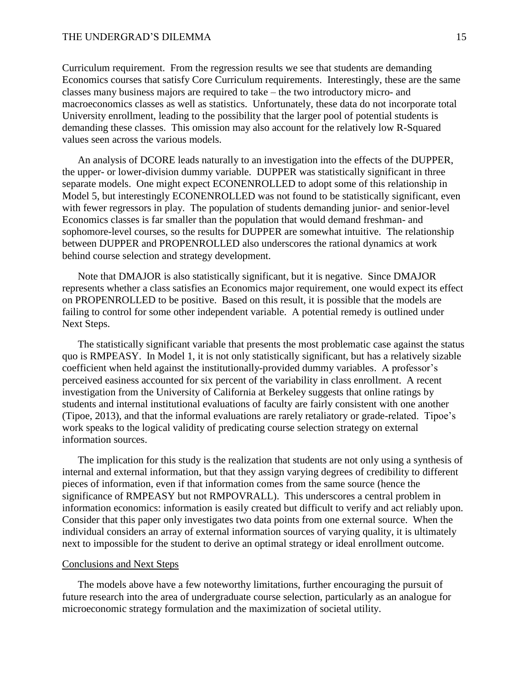Curriculum requirement. From the regression results we see that students are demanding Economics courses that satisfy Core Curriculum requirements. Interestingly, these are the same classes many business majors are required to take – the two introductory micro- and macroeconomics classes as well as statistics. Unfortunately, these data do not incorporate total University enrollment, leading to the possibility that the larger pool of potential students is demanding these classes. This omission may also account for the relatively low R-Squared values seen across the various models.

An analysis of DCORE leads naturally to an investigation into the effects of the DUPPER, the upper- or lower-division dummy variable. DUPPER was statistically significant in three separate models. One might expect ECONENROLLED to adopt some of this relationship in Model 5, but interestingly ECONENROLLED was not found to be statistically significant, even with fewer regressors in play. The population of students demanding junior- and senior-level Economics classes is far smaller than the population that would demand freshman- and sophomore-level courses, so the results for DUPPER are somewhat intuitive. The relationship between DUPPER and PROPENROLLED also underscores the rational dynamics at work behind course selection and strategy development.

Note that DMAJOR is also statistically significant, but it is negative. Since DMAJOR represents whether a class satisfies an Economics major requirement, one would expect its effect on PROPENROLLED to be positive. Based on this result, it is possible that the models are failing to control for some other independent variable. A potential remedy is outlined under Next Steps.

The statistically significant variable that presents the most problematic case against the status quo is RMPEASY. In Model 1, it is not only statistically significant, but has a relatively sizable coefficient when held against the institutionally-provided dummy variables. A professor's perceived easiness accounted for six percent of the variability in class enrollment. A recent investigation from the University of California at Berkeley suggests that online ratings by students and internal institutional evaluations of faculty are fairly consistent with one another (Tipoe, 2013), and that the informal evaluations are rarely retaliatory or grade-related. Tipoe's work speaks to the logical validity of predicating course selection strategy on external information sources.

The implication for this study is the realization that students are not only using a synthesis of internal and external information, but that they assign varying degrees of credibility to different pieces of information, even if that information comes from the same source (hence the significance of RMPEASY but not RMPOVRALL). This underscores a central problem in information economics: information is easily created but difficult to verify and act reliably upon. Consider that this paper only investigates two data points from one external source. When the individual considers an array of external information sources of varying quality, it is ultimately next to impossible for the student to derive an optimal strategy or ideal enrollment outcome.

#### Conclusions and Next Steps

The models above have a few noteworthy limitations, further encouraging the pursuit of future research into the area of undergraduate course selection, particularly as an analogue for microeconomic strategy formulation and the maximization of societal utility.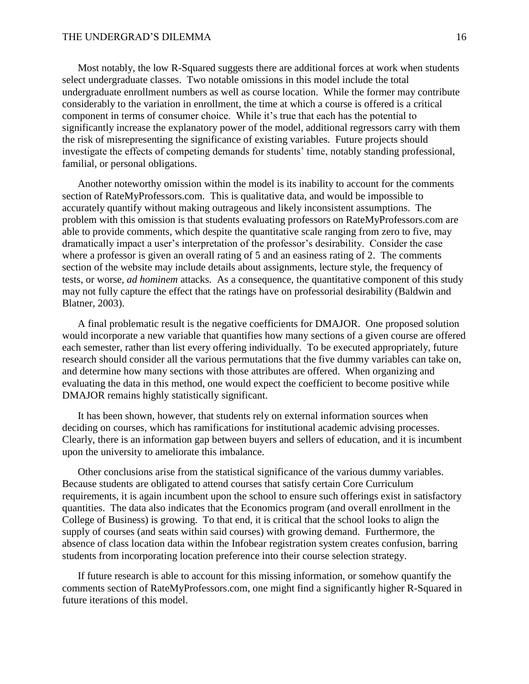Most notably, the low R-Squared suggests there are additional forces at work when students select undergraduate classes. Two notable omissions in this model include the total undergraduate enrollment numbers as well as course location. While the former may contribute considerably to the variation in enrollment, the time at which a course is offered is a critical component in terms of consumer choice. While it's true that each has the potential to significantly increase the explanatory power of the model, additional regressors carry with them the risk of misrepresenting the significance of existing variables. Future projects should investigate the effects of competing demands for students' time, notably standing professional, familial, or personal obligations.

Another noteworthy omission within the model is its inability to account for the comments section of RateMyProfessors.com. This is qualitative data, and would be impossible to accurately quantify without making outrageous and likely inconsistent assumptions. The problem with this omission is that students evaluating professors on RateMyProfessors.com are able to provide comments, which despite the quantitative scale ranging from zero to five, may dramatically impact a user's interpretation of the professor's desirability. Consider the case where a professor is given an overall rating of 5 and an easiness rating of 2. The comments section of the website may include details about assignments, lecture style, the frequency of tests, or worse, *ad hominem* attacks. As a consequence, the quantitative component of this study may not fully capture the effect that the ratings have on professorial desirability (Baldwin and Blatner, 2003).

A final problematic result is the negative coefficients for DMAJOR. One proposed solution would incorporate a new variable that quantifies how many sections of a given course are offered each semester, rather than list every offering individually. To be executed appropriately, future research should consider all the various permutations that the five dummy variables can take on, and determine how many sections with those attributes are offered. When organizing and evaluating the data in this method, one would expect the coefficient to become positive while DMAJOR remains highly statistically significant.

It has been shown, however, that students rely on external information sources when deciding on courses, which has ramifications for institutional academic advising processes. Clearly, there is an information gap between buyers and sellers of education, and it is incumbent upon the university to ameliorate this imbalance.

Other conclusions arise from the statistical significance of the various dummy variables. Because students are obligated to attend courses that satisfy certain Core Curriculum requirements, it is again incumbent upon the school to ensure such offerings exist in satisfactory quantities. The data also indicates that the Economics program (and overall enrollment in the College of Business) is growing. To that end, it is critical that the school looks to align the supply of courses (and seats within said courses) with growing demand. Furthermore, the absence of class location data within the Infobear registration system creates confusion, barring students from incorporating location preference into their course selection strategy.

If future research is able to account for this missing information, or somehow quantify the comments section of RateMyProfessors.com, one might find a significantly higher R-Squared in future iterations of this model.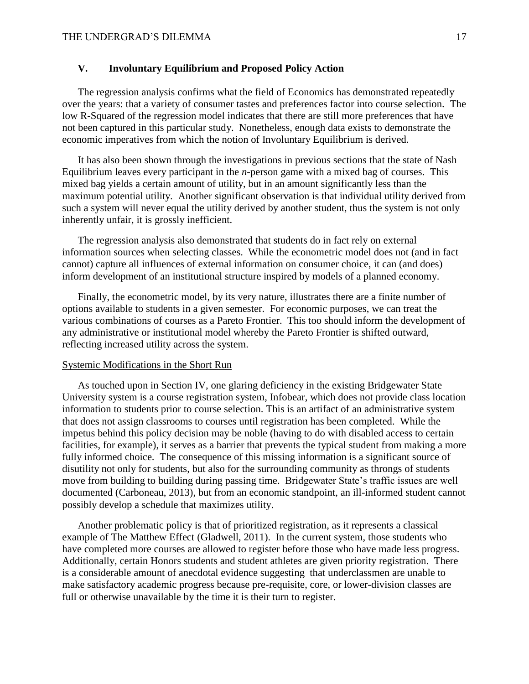# **V. Involuntary Equilibrium and Proposed Policy Action**

The regression analysis confirms what the field of Economics has demonstrated repeatedly over the years: that a variety of consumer tastes and preferences factor into course selection. The low R-Squared of the regression model indicates that there are still more preferences that have not been captured in this particular study. Nonetheless, enough data exists to demonstrate the economic imperatives from which the notion of Involuntary Equilibrium is derived.

It has also been shown through the investigations in previous sections that the state of Nash Equilibrium leaves every participant in the *n-*person game with a mixed bag of courses. This mixed bag yields a certain amount of utility, but in an amount significantly less than the maximum potential utility. Another significant observation is that individual utility derived from such a system will never equal the utility derived by another student, thus the system is not only inherently unfair, it is grossly inefficient.

The regression analysis also demonstrated that students do in fact rely on external information sources when selecting classes. While the econometric model does not (and in fact cannot) capture all influences of external information on consumer choice, it can (and does) inform development of an institutional structure inspired by models of a planned economy.

Finally, the econometric model, by its very nature, illustrates there are a finite number of options available to students in a given semester. For economic purposes, we can treat the various combinations of courses as a Pareto Frontier. This too should inform the development of any administrative or institutional model whereby the Pareto Frontier is shifted outward, reflecting increased utility across the system.

#### Systemic Modifications in the Short Run

As touched upon in Section IV, one glaring deficiency in the existing Bridgewater State University system is a course registration system, Infobear, which does not provide class location information to students prior to course selection. This is an artifact of an administrative system that does not assign classrooms to courses until registration has been completed. While the impetus behind this policy decision may be noble (having to do with disabled access to certain facilities, for example), it serves as a barrier that prevents the typical student from making a more fully informed choice. The consequence of this missing information is a significant source of disutility not only for students, but also for the surrounding community as throngs of students move from building to building during passing time. Bridgewater State's traffic issues are well documented (Carboneau, 2013), but from an economic standpoint, an ill-informed student cannot possibly develop a schedule that maximizes utility.

Another problematic policy is that of prioritized registration, as it represents a classical example of The Matthew Effect (Gladwell, 2011). In the current system, those students who have completed more courses are allowed to register before those who have made less progress. Additionally, certain Honors students and student athletes are given priority registration. There is a considerable amount of anecdotal evidence suggesting that underclassmen are unable to make satisfactory academic progress because pre-requisite, core, or lower-division classes are full or otherwise unavailable by the time it is their turn to register.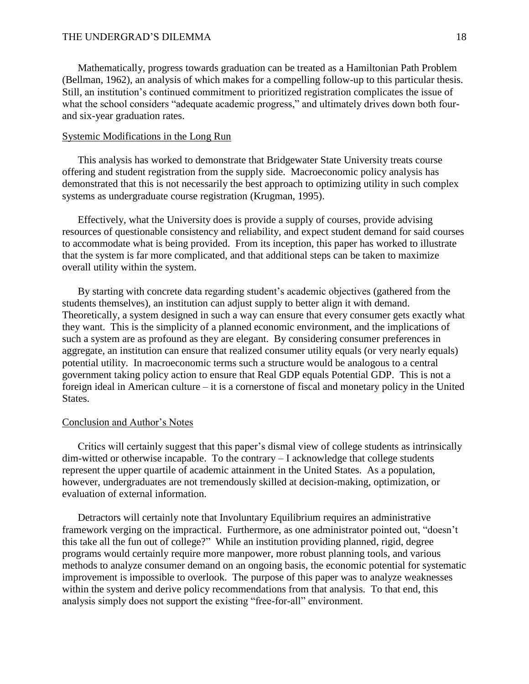Mathematically, progress towards graduation can be treated as a Hamiltonian Path Problem (Bellman, 1962), an analysis of which makes for a compelling follow-up to this particular thesis. Still, an institution's continued commitment to prioritized registration complicates the issue of what the school considers "adequate academic progress," and ultimately drives down both fourand six-year graduation rates.

#### Systemic Modifications in the Long Run

This analysis has worked to demonstrate that Bridgewater State University treats course offering and student registration from the supply side. Macroeconomic policy analysis has demonstrated that this is not necessarily the best approach to optimizing utility in such complex systems as undergraduate course registration (Krugman, 1995).

Effectively, what the University does is provide a supply of courses, provide advising resources of questionable consistency and reliability, and expect student demand for said courses to accommodate what is being provided. From its inception, this paper has worked to illustrate that the system is far more complicated, and that additional steps can be taken to maximize overall utility within the system.

By starting with concrete data regarding student's academic objectives (gathered from the students themselves), an institution can adjust supply to better align it with demand. Theoretically, a system designed in such a way can ensure that every consumer gets exactly what they want. This is the simplicity of a planned economic environment, and the implications of such a system are as profound as they are elegant. By considering consumer preferences in aggregate, an institution can ensure that realized consumer utility equals (or very nearly equals) potential utility. In macroeconomic terms such a structure would be analogous to a central government taking policy action to ensure that Real GDP equals Potential GDP. This is not a foreign ideal in American culture – it is a cornerstone of fiscal and monetary policy in the United States.

#### Conclusion and Author's Notes

Critics will certainly suggest that this paper's dismal view of college students as intrinsically dim-witted or otherwise incapable. To the contrary – I acknowledge that college students represent the upper quartile of academic attainment in the United States. As a population, however, undergraduates are not tremendously skilled at decision-making, optimization, or evaluation of external information.

Detractors will certainly note that Involuntary Equilibrium requires an administrative framework verging on the impractical. Furthermore, as one administrator pointed out, "doesn't this take all the fun out of college?" While an institution providing planned, rigid, degree programs would certainly require more manpower, more robust planning tools, and various methods to analyze consumer demand on an ongoing basis, the economic potential for systematic improvement is impossible to overlook. The purpose of this paper was to analyze weaknesses within the system and derive policy recommendations from that analysis. To that end, this analysis simply does not support the existing "free-for-all" environment.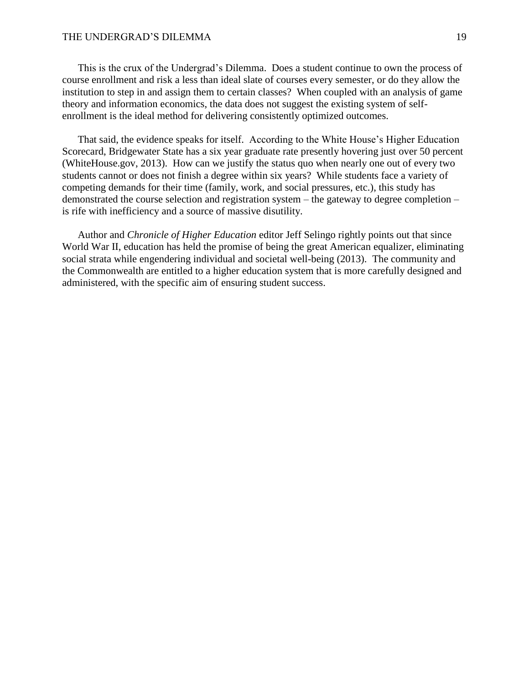This is the crux of the Undergrad's Dilemma. Does a student continue to own the process of course enrollment and risk a less than ideal slate of courses every semester, or do they allow the institution to step in and assign them to certain classes? When coupled with an analysis of game theory and information economics, the data does not suggest the existing system of selfenrollment is the ideal method for delivering consistently optimized outcomes.

That said, the evidence speaks for itself. According to the White House's Higher Education Scorecard, Bridgewater State has a six year graduate rate presently hovering just over 50 percent (WhiteHouse.gov, 2013). How can we justify the status quo when nearly one out of every two students cannot or does not finish a degree within six years? While students face a variety of competing demands for their time (family, work, and social pressures, etc.), this study has demonstrated the course selection and registration system – the gateway to degree completion – is rife with inefficiency and a source of massive disutility.

Author and *Chronicle of Higher Education* editor Jeff Selingo rightly points out that since World War II, education has held the promise of being the great American equalizer, eliminating social strata while engendering individual and societal well-being (2013). The community and the Commonwealth are entitled to a higher education system that is more carefully designed and administered, with the specific aim of ensuring student success.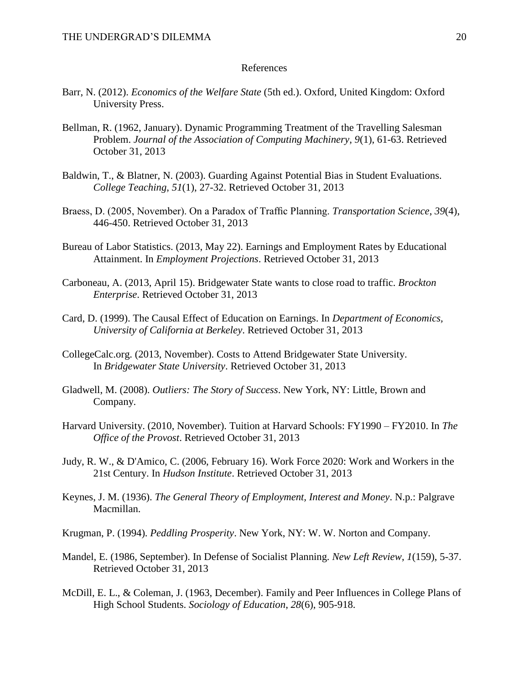#### References

- Barr, N. (2012). *Economics of the Welfare State* (5th ed.). Oxford, United Kingdom: Oxford University Press.
- Bellman, R. (1962, January). Dynamic Programming Treatment of the Travelling Salesman Problem. *Journal of the Association of Computing Machinery*, *9*(1), 61-63. Retrieved October 31, 2013
- Baldwin, T., & Blatner, N. (2003). Guarding Against Potential Bias in Student Evaluations. *College Teaching*, *51*(1), 27-32. Retrieved October 31, 2013
- Braess, D. (2005, November). On a Paradox of Traffic Planning. *Transportation Science*, *39*(4), 446-450. Retrieved October 31, 2013
- Bureau of Labor Statistics. (2013, May 22). Earnings and Employment Rates by Educational Attainment. In *Employment Projections*. Retrieved October 31, 2013
- Carboneau, A. (2013, April 15). Bridgewater State wants to close road to traffic. *Brockton Enterprise*. Retrieved October 31, 2013
- Card, D. (1999). The Causal Effect of Education on Earnings. In *Department of Economics, University of California at Berkeley*. Retrieved October 31, 2013
- CollegeCalc.org. (2013, November). Costs to Attend Bridgewater State University. In *Bridgewater State University*. Retrieved October 31, 2013
- Gladwell, M. (2008). *Outliers: The Story of Success*. New York, NY: Little, Brown and Company.
- Harvard University. (2010, November). Tuition at Harvard Schools: FY1990 FY2010. In *The Office of the Provost*. Retrieved October 31, 2013
- Judy, R. W., & D'Amico, C. (2006, February 16). Work Force 2020: Work and Workers in the 21st Century. In *Hudson Institute*. Retrieved October 31, 2013
- Keynes, J. M. (1936). *The General Theory of Employment, Interest and Money*. N.p.: Palgrave Macmillan.
- Krugman, P. (1994). *Peddling Prosperity*. New York, NY: W. W. Norton and Company.
- Mandel, E. (1986, September). In Defense of Socialist Planning. *New Left Review*, *1*(159), 5-37. Retrieved October 31, 2013
- McDill, E. L., & Coleman, J. (1963, December). Family and Peer Influences in College Plans of High School Students. *Sociology of Education*, *28*(6), 905-918.